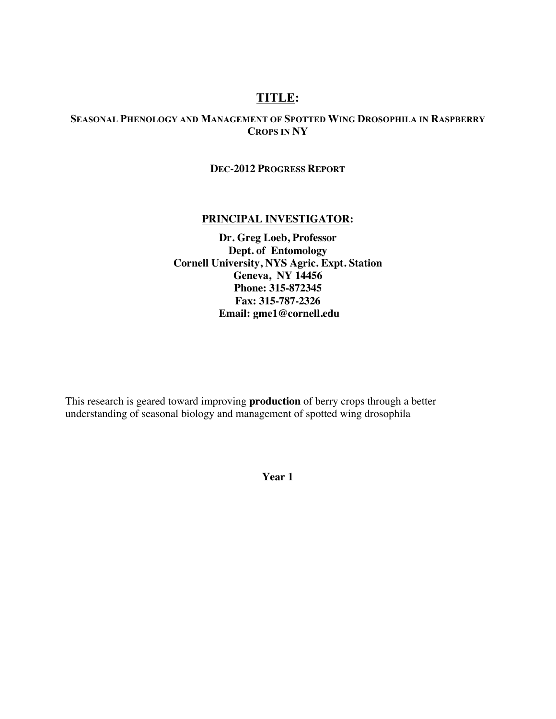# **TITLE:**

# **SEASONAL PHENOLOGY AND MANAGEMENT OF SPOTTED WING DROSOPHILA IN RASPBERRY CROPS IN NY**

## **DEC-2012 PROGRESS REPORT**

## **PRINCIPAL INVESTIGATOR:**

**Dr. Greg Loeb, Professor Dept. of Entomology Cornell University, NYS Agric. Expt. Station Geneva, NY 14456 Phone: 315-872345 Fax: 315-787-2326 Email: gme1@cornell.edu**

This research is geared toward improving **production** of berry crops through a better understanding of seasonal biology and management of spotted wing drosophila

**Year 1**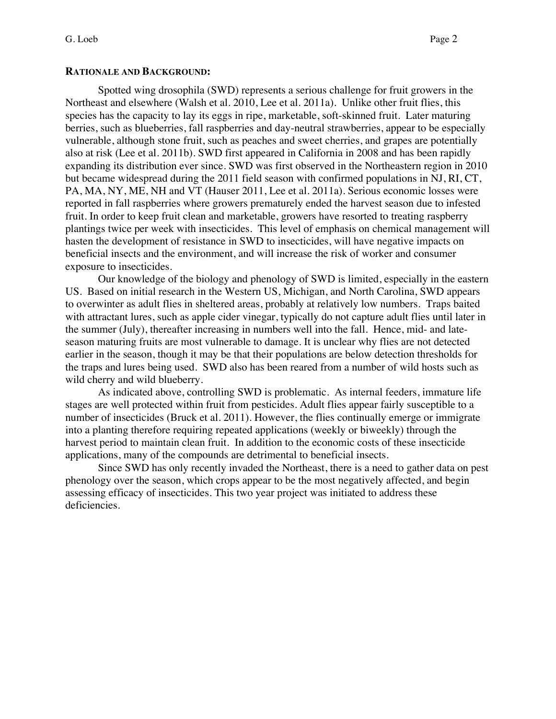## **RATIONALE AND BACKGROUND:**

Spotted wing drosophila (SWD) represents a serious challenge for fruit growers in the Northeast and elsewhere (Walsh et al. 2010, Lee et al. 2011a). Unlike other fruit flies, this species has the capacity to lay its eggs in ripe, marketable, soft-skinned fruit. Later maturing berries, such as blueberries, fall raspberries and day-neutral strawberries, appear to be especially vulnerable, although stone fruit, such as peaches and sweet cherries, and grapes are potentially also at risk (Lee et al. 2011b). SWD first appeared in California in 2008 and has been rapidly expanding its distribution ever since. SWD was first observed in the Northeastern region in 2010 but became widespread during the 2011 field season with confirmed populations in NJ, RI, CT, PA, MA, NY, ME, NH and VT (Hauser 2011, Lee et al. 2011a). Serious economic losses were reported in fall raspberries where growers prematurely ended the harvest season due to infested fruit. In order to keep fruit clean and marketable, growers have resorted to treating raspberry plantings twice per week with insecticides. This level of emphasis on chemical management will hasten the development of resistance in SWD to insecticides, will have negative impacts on beneficial insects and the environment, and will increase the risk of worker and consumer exposure to insecticides.

Our knowledge of the biology and phenology of SWD is limited, especially in the eastern US. Based on initial research in the Western US, Michigan, and North Carolina, SWD appears to overwinter as adult flies in sheltered areas, probably at relatively low numbers. Traps baited with attractant lures, such as apple cider vinegar, typically do not capture adult flies until later in the summer (July), thereafter increasing in numbers well into the fall. Hence, mid- and lateseason maturing fruits are most vulnerable to damage. It is unclear why flies are not detected earlier in the season, though it may be that their populations are below detection thresholds for the traps and lures being used. SWD also has been reared from a number of wild hosts such as wild cherry and wild blueberry.

As indicated above, controlling SWD is problematic. As internal feeders, immature life stages are well protected within fruit from pesticides. Adult flies appear fairly susceptible to a number of insecticides (Bruck et al. 2011). However, the flies continually emerge or immigrate into a planting therefore requiring repeated applications (weekly or biweekly) through the harvest period to maintain clean fruit. In addition to the economic costs of these insecticide applications, many of the compounds are detrimental to beneficial insects.

Since SWD has only recently invaded the Northeast, there is a need to gather data on pest phenology over the season, which crops appear to be the most negatively affected, and begin assessing efficacy of insecticides. This two year project was initiated to address these deficiencies.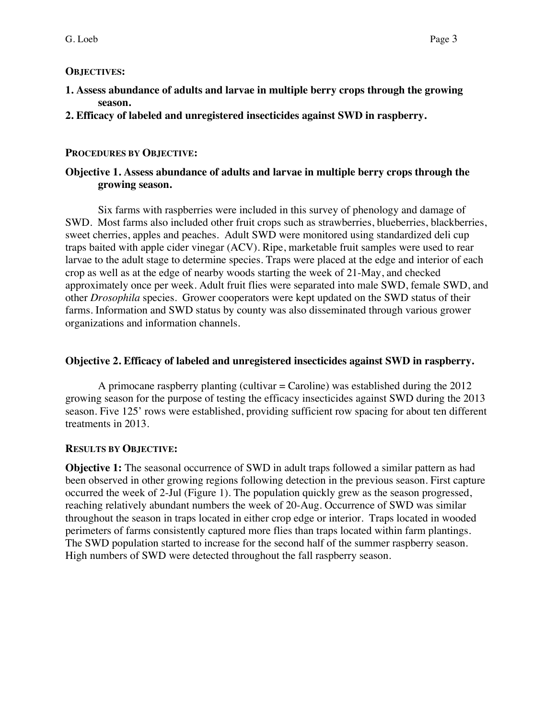## **OBJECTIVES:**

- **1. Assess abundance of adults and larvae in multiple berry crops through the growing season.**
- **2. Efficacy of labeled and unregistered insecticides against SWD in raspberry.**

# **PROCEDURES BY OBJECTIVE:**

# **Objective 1. Assess abundance of adults and larvae in multiple berry crops through the growing season.**

Six farms with raspberries were included in this survey of phenology and damage of SWD. Most farms also included other fruit crops such as strawberries, blueberries, blackberries, sweet cherries, apples and peaches. Adult SWD were monitored using standardized deli cup traps baited with apple cider vinegar (ACV). Ripe, marketable fruit samples were used to rear larvae to the adult stage to determine species. Traps were placed at the edge and interior of each crop as well as at the edge of nearby woods starting the week of 21-May, and checked approximately once per week. Adult fruit flies were separated into male SWD, female SWD, and other *Drosophila* species. Grower cooperators were kept updated on the SWD status of their farms. Information and SWD status by county was also disseminated through various grower organizations and information channels.

# **Objective 2. Efficacy of labeled and unregistered insecticides against SWD in raspberry.**

A primocane raspberry planting (cultivar  $=$  Caroline) was established during the 2012 growing season for the purpose of testing the efficacy insecticides against SWD during the 2013 season. Five 125' rows were established, providing sufficient row spacing for about ten different treatments in 2013.

## **RESULTS BY OBJECTIVE:**

**Objective 1:** The seasonal occurrence of SWD in adult traps followed a similar pattern as had been observed in other growing regions following detection in the previous season. First capture occurred the week of 2-Jul (Figure 1). The population quickly grew as the season progressed, reaching relatively abundant numbers the week of 20-Aug. Occurrence of SWD was similar throughout the season in traps located in either crop edge or interior. Traps located in wooded perimeters of farms consistently captured more flies than traps located within farm plantings. The SWD population started to increase for the second half of the summer raspberry season. High numbers of SWD were detected throughout the fall raspberry season.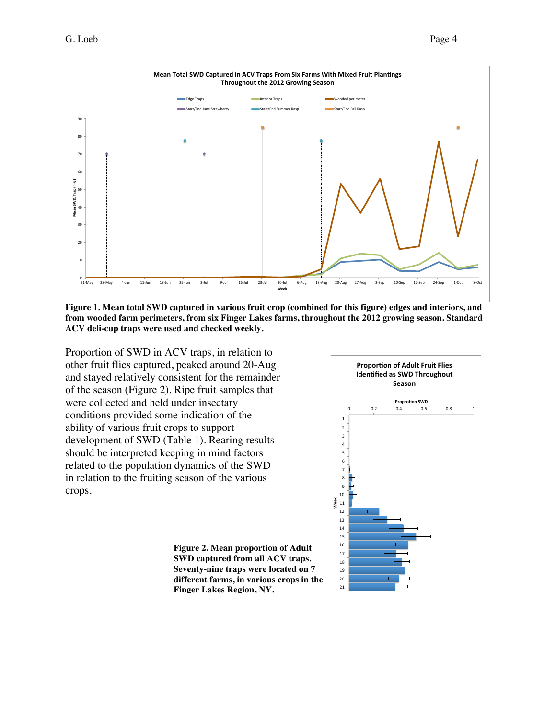

**Figure 1. Mean total SWD captured in various fruit crop (combined for this figure) edges and interiors, and from wooded farm perimeters, from six Finger Lakes farms, throughout the 2012 growing season. Standard ACV deli-cup traps were used and checked weekly.**

Proportion of SWD in ACV traps, in relation to other fruit flies captured, peaked around 20-Aug and stayed relatively consistent for the remainder of the season (Figure 2). Ripe fruit samples that were collected and held under insectary conditions provided some indication of the ability of various fruit crops to support development of SWD (Table 1). Rearing results should be interpreted keeping in mind factors related to the population dynamics of the SWD in relation to the fruiting season of the various crops.

**Figure 2. Mean proportion of Adult SWD captured from all ACV traps. Seventy-nine traps were located on 7 different farms, in various crops in the Finger Lakes Region, NY.**

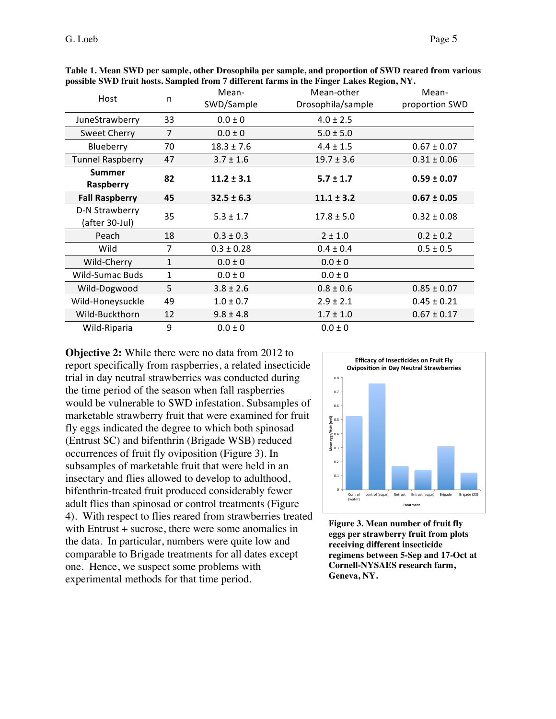| Host                             | n  | Mean-          | Mean-other        | Mean-           |
|----------------------------------|----|----------------|-------------------|-----------------|
|                                  |    | SWD/Sample     | Drosophila/sample | proportion SWD  |
| JuneStrawberry                   | 33 | $0.0 \pm 0$    | $4.0 \pm 2.5$     |                 |
| <b>Sweet Cherry</b>              | 7  | $0.0 \pm 0$    | $5.0 \pm 5.0$     |                 |
| Blueberry                        | 70 | $18.3 \pm 7.6$ | $4.4 \pm 1.5$     | $0.67 \pm 0.07$ |
| <b>Tunnel Raspberry</b>          | 47 | $3.7 \pm 1.6$  | $19.7 \pm 3.6$    | $0.31 \pm 0.06$ |
| <b>Summer</b><br>Raspberry       | 82 | $11.2 \pm 3.1$ | $5.7 \pm 1.7$     | $0.59 \pm 0.07$ |
| <b>Fall Raspberry</b>            | 45 | $32.5 \pm 6.3$ | $11.1 \pm 3.2$    | $0.67 \pm 0.05$ |
| D-N Strawberry<br>(after 30-Jul) | 35 | $5.3 \pm 1.7$  | $17.8 \pm 5.0$    | $0.32 \pm 0.08$ |
| Peach                            | 18 | $0.3 \pm 0.3$  | $2 \pm 1.0$       | $0.2 \pm 0.2$   |
| Wild                             | 7  | $0.3 \pm 0.28$ | $0.4 \pm 0.4$     | $0.5 \pm 0.5$   |
| Wild-Cherry                      | 1  | $0.0 \pm 0$    | $0.0 \pm 0$       |                 |
| <b>Wild-Sumac Buds</b>           | 1  | $0.0 \pm 0$    | $0.0 \pm 0$       |                 |
| Wild-Dogwood                     | 5  | $3.8 \pm 2.6$  | $0.8 \pm 0.6$     | $0.85 \pm 0.07$ |
| Wild-Honeysuckle                 | 49 | $1.0 \pm 0.7$  | $2.9 \pm 2.1$     | $0.45 \pm 0.21$ |
| Wild-Buckthorn                   | 12 | $9.8 \pm 4.8$  | $1.7 \pm 1.0$     | $0.67 \pm 0.17$ |
| Wild-Riparia                     | 9  | $0.0 \pm 0$    | $0.0 \pm 0$       |                 |

**Table 1. Mean SWD per sample, other Drosophila per sample, and proportion of SWD reared from various possible SWD fruit hosts. Sampled from 7 different farms in the Finger Lakes Region, NY.** 

**Objective 2:** While there were no data from 2012 to report specifically from raspberries, a related insecticide trial in day neutral strawberries was conducted during the time period of the season when fall raspberries would be vulnerable to SWD infestation. Subsamples of marketable strawberry fruit that were examined for fruit fly eggs indicated the degree to which both spinosad (Entrust SC) and bifenthrin (Brigade WSB) reduced occurrences of fruit fly oviposition (Figure 3). In subsamples of marketable fruit that were held in an insectary and flies allowed to develop to adulthood, bifenthrin-treated fruit produced considerably fewer adult flies than spinosad or control treatments (Figure 4). With respect to flies reared from strawberries treated with Entrust + sucrose, there were some anomalies in the data. In particular, numbers were quite low and comparable to Brigade treatments for all dates except one. Hence, we suspect some problems with experimental methods for that time period.



**Figure 3. Mean number of fruit fly eggs per strawberry fruit from plots receiving different insecticide regimens between 5-Sep and 17-Oct at Cornell-NYSAES research farm, Geneva, NY.**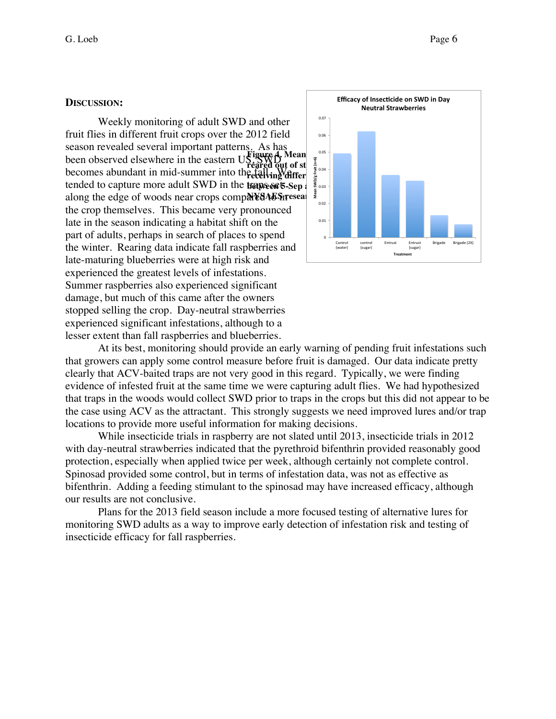#### **DISCUSSION:**

Weekly monitoring of adult SWD and other fruit flies in different fruit crops over the 2012 field season revealed several important patterns. As has been observed elsewhere in the eastern  $\mathbf{U}\mathbf{S}$ becomes abundant in mid-summer into the fall. We **bended to capture more adult SWD in the traps set 5-Sep**  $\frac{1}{2}$  **and 17-Oct at Cornell**along the edge of woods near crops comp**ared to see and farmer in the set of the set of the set of the set of the set of the set of the set of the set of the set of the set of the set of the set of the set of the set of th** the crop themselves. This became very pronounced late in the season indicating a habitat shift on the part of adults, perhaps in search of places to spend the winter. Rearing data indicate fall raspberries and late-maturing blueberries were at high risk and experienced the greatest levels of infestations. Summer raspberries also experienced significant damage, but much of this came after the owners stopped selling the crop. Day-neutral strawberries experienced significant infestations, although to a lesser extent than fall raspberries and blueberries.



At its best, monitoring should provide an early warning of pending fruit infestations such that growers can apply some control measure before fruit is damaged. Our data indicate pretty clearly that ACV-baited traps are not very good in this regard. Typically, we were finding evidence of infested fruit at the same time we were capturing adult flies. We had hypothesized that traps in the woods would collect SWD prior to traps in the crops but this did not appear to be the case using ACV as the attractant. This strongly suggests we need improved lures and/or trap locations to provide more useful information for making decisions.

While insecticide trials in raspberry are not slated until 2013, insecticide trials in 2012 with day-neutral strawberries indicated that the pyrethroid bifenthrin provided reasonably good protection, especially when applied twice per week, although certainly not complete control. Spinosad provided some control, but in terms of infestation data, was not as effective as bifenthrin. Adding a feeding stimulant to the spinosad may have increased efficacy, although our results are not conclusive.

Plans for the 2013 field season include a more focused testing of alternative lures for monitoring SWD adults as a way to improve early detection of infestation risk and testing of insecticide efficacy for fall raspberries.